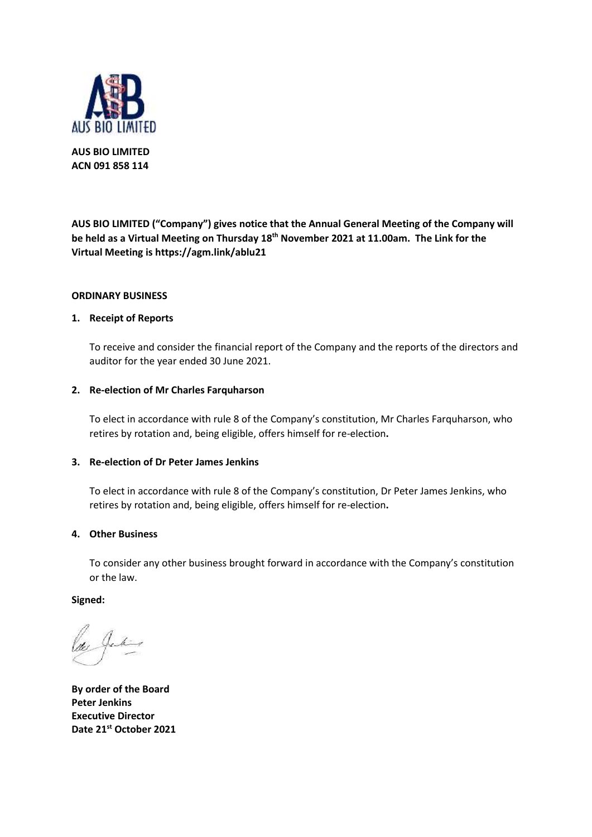

**AUS BIO LIMITED ACN 091 858 114**

**AUS BIO LIMITED ("Company") gives notice that the Annual General Meeting of the Company will be held as a Virtual Meeting on Thursday 18th November 2021 at 11.00am. The Link for the Virtual Meeting is https://agm.link/ablu21** 

# **ORDINARY BUSINESS**

### **1. Receipt of Reports**

To receive and consider the financial report of the Company and the reports of the directors and auditor for the year ended 30 June 2021.

### **2. Re-election of Mr Charles Farquharson**

To elect in accordance with rule 8 of the Company's constitution, Mr Charles Farquharson, who retires by rotation and, being eligible, offers himself for re-election**.**

#### **3. Re-election of Dr Peter James Jenkins**

To elect in accordance with rule 8 of the Company's constitution, Dr Peter James Jenkins, who retires by rotation and, being eligible, offers himself for re-election**.**

### **4. Other Business**

To consider any other business brought forward in accordance with the Company's constitution or the law.

**Signed:**

**By order of the Board Peter Jenkins Executive Director Date 21st October 2021**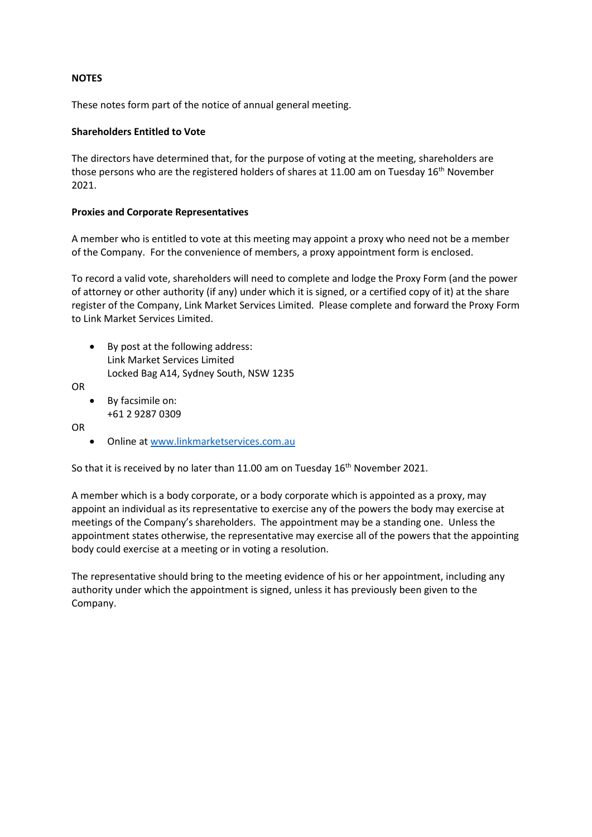# **NOTES**

These notes form part of the notice of annual general meeting.

# **Shareholders Entitled to Vote**

The directors have determined that, for the purpose of voting at the meeting, shareholders are those persons who are the registered holders of shares at 11.00 am on Tuesday  $16<sup>th</sup>$  November 2021.

# **Proxies and Corporate Representatives**

A member who is entitled to vote at this meeting may appoint a proxy who need not be a member of the Company. For the convenience of members, a proxy appointment form is enclosed.

To record a valid vote, shareholders will need to complete and lodge the Proxy Form (and the power of attorney or other authority (if any) under which it is signed, or a certified copy of it) at the share register of the Company, Link Market Services Limited. Please complete and forward the Proxy Form to Link Market Services Limited.

• By post at the following address: Link Market Services Limited Locked Bag A14, Sydney South, NSW 1235

OR

• By facsimile on: +61 2 9287 0309

OR

• Online at [www.linkmarketservices.com.au](http://www.linkmarketservices.com.au/)

So that it is received by no later than 11.00 am on Tuesday  $16<sup>th</sup>$  November 2021.

A member which is a body corporate, or a body corporate which is appointed as a proxy, may appoint an individual as its representative to exercise any of the powers the body may exercise at meetings of the Company's shareholders. The appointment may be a standing one. Unless the appointment states otherwise, the representative may exercise all of the powers that the appointing body could exercise at a meeting or in voting a resolution.

The representative should bring to the meeting evidence of his or her appointment, including any authority under which the appointment is signed, unless it has previously been given to the Company.